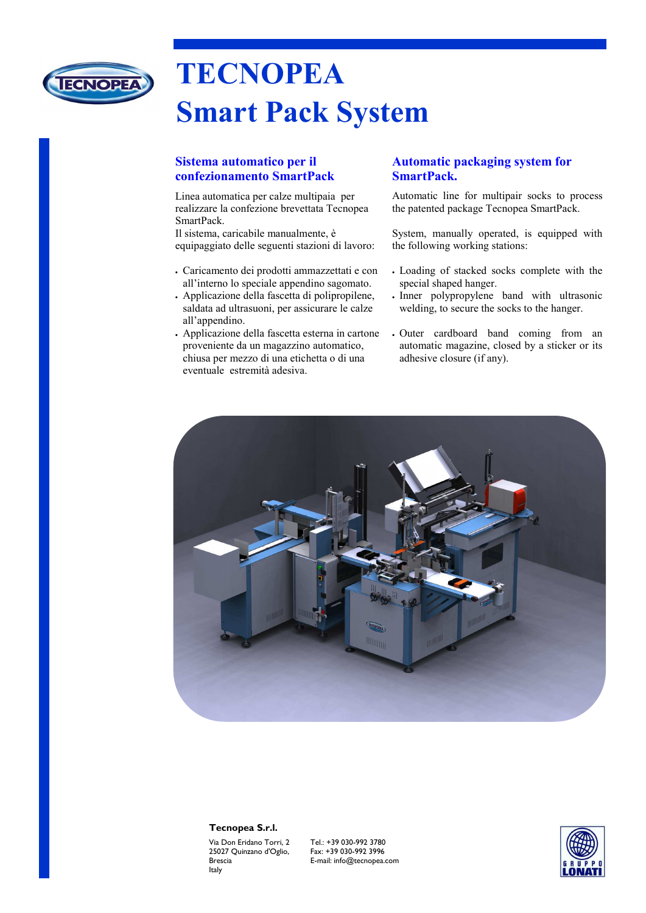

# **TECNOPEA Smart Pack System**

## **Sistema automatico per il confezionamento SmartPack**

Linea automatica per calze multipaia per realizzare la confezione brevettata Tecnopea SmartPack.

Il sistema, caricabile manualmente, è equipaggiato delle seguenti stazioni di lavoro:

- Caricamento dei prodotti ammazzettati e con all'interno lo speciale appendino sagomato.
- Applicazione della fascetta di polipropilene, saldata ad ultrasuoni, per assicurare le calze all'appendino.
- Applicazione della fascetta esterna in cartone proveniente da un magazzino automatico, chiusa per mezzo di una etichetta o di una eventuale estremità adesiva.

## **Automatic packaging system for SmartPack.**

Automatic line for multipair socks to process the patented package Tecnopea SmartPack.

System, manually operated, is equipped with the following working stations:

- Loading of stacked socks complete with the special shaped hanger.
- Inner polypropylene band with ultrasonic welding, to secure the socks to the hanger.
- Outer cardboard band coming from an automatic magazine, closed by a sticker or its adhesive closure (if any).



#### **Tecnopea S.r.l.**

Via Don Eridano Torri, 2 25027 Quinzano d'Oglio, Brescia Italy

Tel.: +39 030-992 3780 Fax: +39 030-992 3996 E-mail: info@tecnopea.com

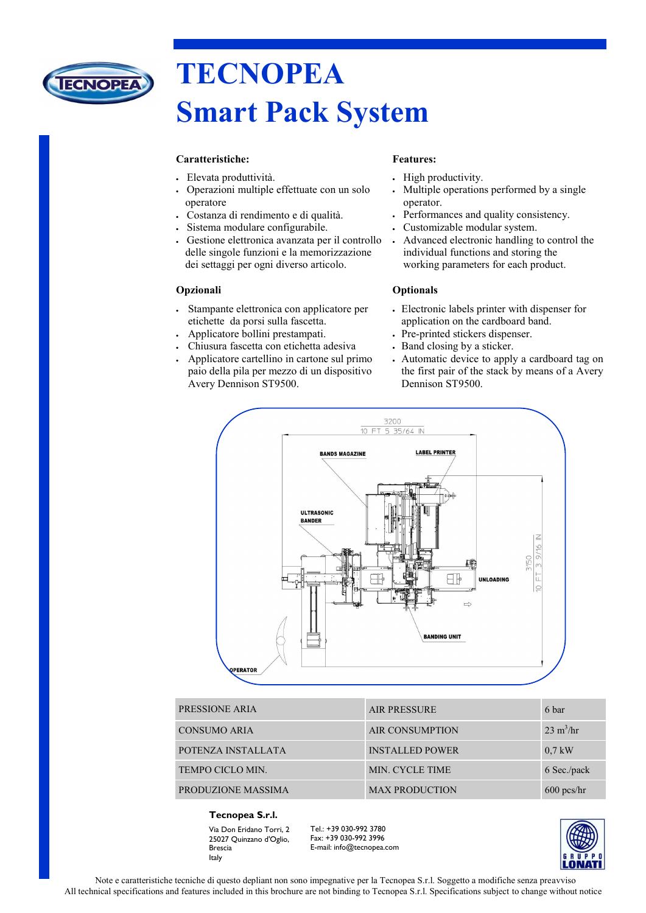

# **TECNOPEA Smart Pack System**

#### **Caratteristiche:**

- Elevata produttività.
- Operazioni multiple effettuate con un solo operatore
- Costanza di rendimento e di qualità.
- Sistema modulare configurabile.
- Gestione elettronica avanzata per il controllo delle singole funzioni e la memorizzazione dei settaggi per ogni diverso articolo.

#### **Opzionali**

- Stampante elettronica con applicatore per etichette da porsi sulla fascetta.
- Applicatore bollini prestampati.
- Chiusura fascetta con etichetta adesiva
- Applicatore cartellino in cartone sul primo paio della pila per mezzo di un dispositivo Avery Dennison ST9500.

#### **Features:**

- High productivity.
- Multiple operations performed by a single operator.
- Performances and quality consistency.
- Customizable modular system.
- Advanced electronic handling to control the individual functions and storing the working parameters for each product.

#### **Optionals**

- Electronic labels printer with dispenser for application on the cardboard band.
- Pre-printed stickers dispenser.
- Band closing by a sticker.
- Automatic device to apply a cardboard tag on the first pair of the stack by means of a Avery Dennison ST9500.



| PRESSIONE ARIA          | <b>AIR PRESSURE</b>    | 6 bar                      |
|-------------------------|------------------------|----------------------------|
| <b>CONSUMO ARIA</b>     | <b>AIR CONSUMPTION</b> | $23 \text{ m}^3/\text{hr}$ |
| POTENZA INSTALLATA      | <b>INSTALLED POWER</b> | $0.7$ kW                   |
| <b>TEMPO CICLO MIN.</b> | MIN. CYCLE TIME        | 6 Sec./pack                |
| PRODUZIONE MASSIMA      | <b>MAX PRODUCTION</b>  | $600$ pcs/hr               |

#### **Tecnopea S.r.l.**

Via Don Eridano Torri, 2 25027 Quinzano d'Oglio, Brescia Italy

Tel.: +39 030-992 3780 Fax: +39 030-992 3996 E-mail: info@tecnopea.com



Note e caratteristiche tecniche di questo depliant non sono impegnative per la Tecnopea S.r.l. Soggetto a modifiche senza preavviso All technical specifications and features included in this brochure are not binding to Tecnopea S.r.l. Specifications subject to change without notice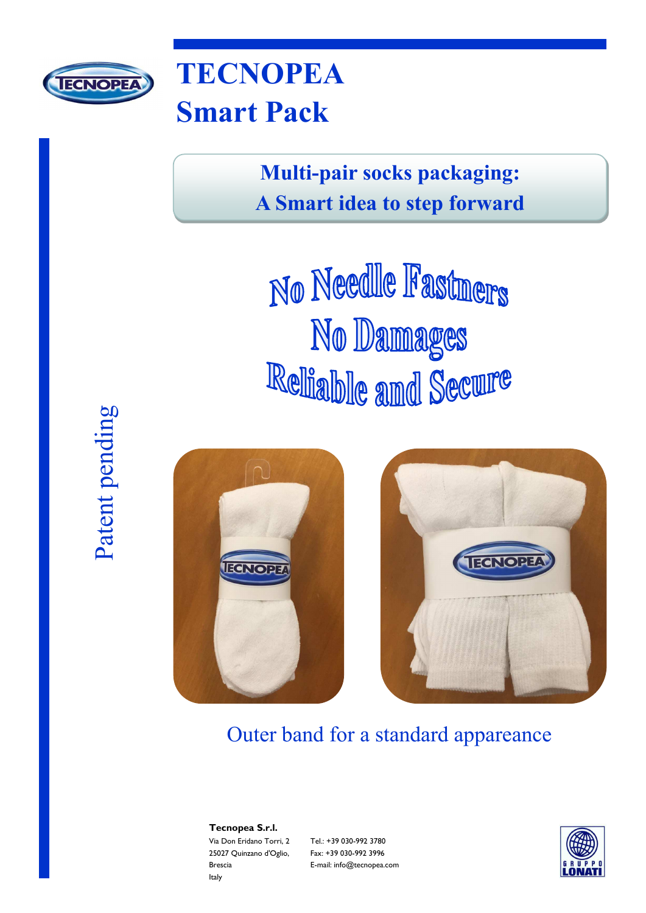

# **TECNOPEA Smart Pack**

**Multi-pair socks packaging: A Smart idea to step forward**

No Needle Fastners No Damages Reliable and Secure







Outer band for a standard appareance

**Tecnopea S.r.l.**  Via Don Eridano Torri, 2 25027 Quinzano d'Oglio, Brescia Italy

Tel.: +39 030-992 3780 Fax: +39 030-992 3996 E-mail: info@tecnopea.com